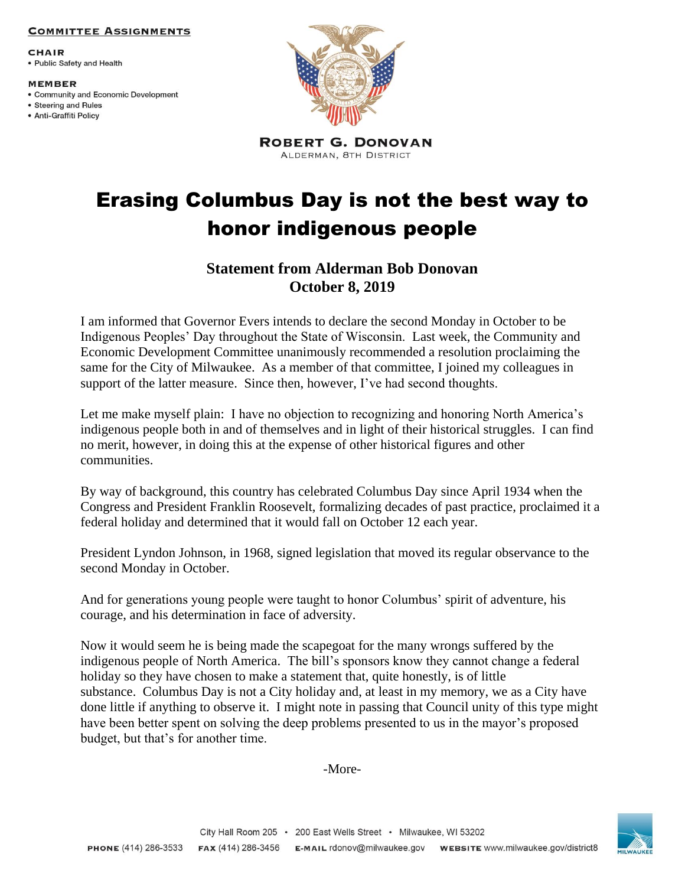### **COMMITTEE ASSIGNMENTS**

**CHAIR** • Public Safety and Health

#### **MEMBER**

- Community and Economic Development
- Steering and Rules · Anti-Graffiti Policy



**ROBERT G. DONOVAN** ALDERMAN, 8TH DISTRICT

# Erasing Columbus Day is not the best way to honor indigenous people

## **Statement from Alderman Bob Donovan October 8, 2019**

I am informed that Governor Evers intends to declare the second Monday in October to be Indigenous Peoples' Day throughout the State of Wisconsin. Last week, the Community and Economic Development Committee unanimously recommended a resolution proclaiming the same for the City of Milwaukee. As a member of that committee, I joined my colleagues in support of the latter measure. Since then, however, I've had second thoughts.

Let me make myself plain: I have no objection to recognizing and honoring North America's indigenous people both in and of themselves and in light of their historical struggles. I can find no merit, however, in doing this at the expense of other historical figures and other communities.

By way of background, this country has celebrated Columbus Day since April 1934 when the Congress and President Franklin Roosevelt, formalizing decades of past practice, proclaimed it a federal holiday and determined that it would fall on October 12 each year.

President Lyndon Johnson, in 1968, signed legislation that moved its regular observance to the second Monday in October.

And for generations young people were taught to honor Columbus' spirit of adventure, his courage, and his determination in face of adversity.

Now it would seem he is being made the scapegoat for the many wrongs suffered by the indigenous people of North America. The bill's sponsors know they cannot change a federal holiday so they have chosen to make a statement that, quite honestly, is of little substance. Columbus Day is not a City holiday and, at least in my memory, we as a City have done little if anything to observe it. I might note in passing that Council unity of this type might have been better spent on solving the deep problems presented to us in the mayor's proposed budget, but that's for another time.

-More-